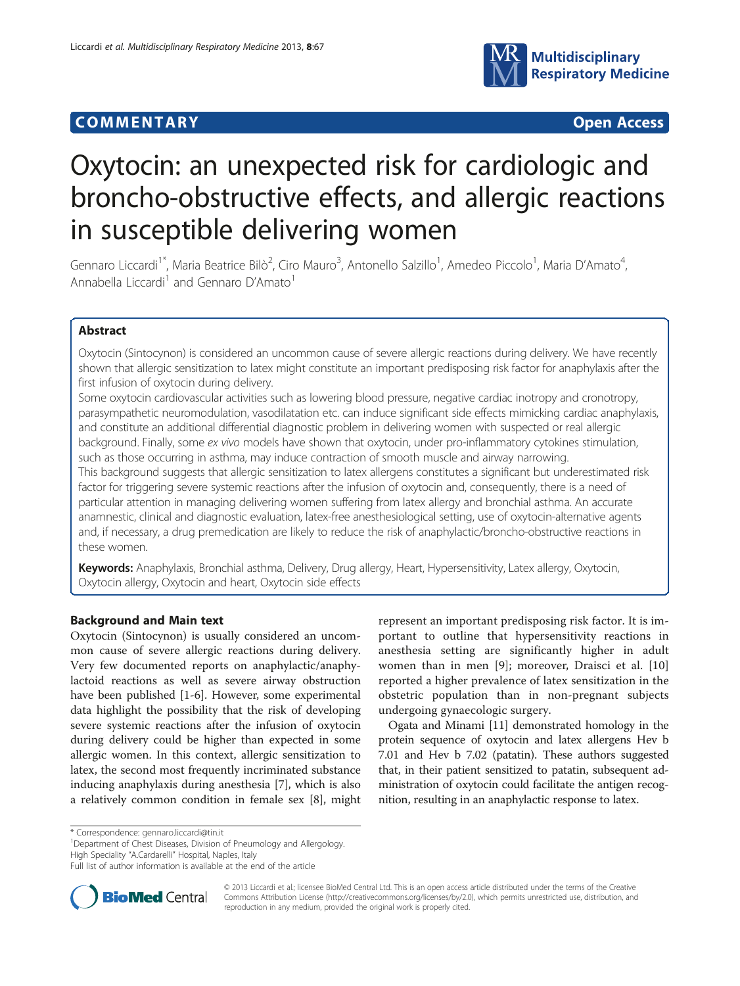# **COMMENTARY COMMENTARY Open Access**



# Oxytocin: an unexpected risk for cardiologic and broncho-obstructive effects, and allergic reactions in susceptible delivering women

Gennaro Liccardi<sup>1\*</sup>, Maria Beatrice Bilò<sup>2</sup>, Ciro Mauro<sup>3</sup>, Antonello Salzillo<sup>1</sup>, Amedeo Piccolo<sup>1</sup>, Maria D'Amato<sup>4</sup> , Annabella Liccardi<sup>1</sup> and Gennaro D'Amato<sup>1</sup>

# Abstract

Oxytocin (Sintocynon) is considered an uncommon cause of severe allergic reactions during delivery. We have recently shown that allergic sensitization to latex might constitute an important predisposing risk factor for anaphylaxis after the first infusion of oxytocin during delivery.

Some oxytocin cardiovascular activities such as lowering blood pressure, negative cardiac inotropy and cronotropy, parasympathetic neuromodulation, vasodilatation etc. can induce significant side effects mimicking cardiac anaphylaxis, and constitute an additional differential diagnostic problem in delivering women with suspected or real allergic background. Finally, some ex vivo models have shown that oxytocin, under pro-inflammatory cytokines stimulation, such as those occurring in asthma, may induce contraction of smooth muscle and airway narrowing.

This background suggests that allergic sensitization to latex allergens constitutes a significant but underestimated risk factor for triggering severe systemic reactions after the infusion of oxytocin and, consequently, there is a need of particular attention in managing delivering women suffering from latex allergy and bronchial asthma. An accurate anamnestic, clinical and diagnostic evaluation, latex-free anesthesiological setting, use of oxytocin-alternative agents and, if necessary, a drug premedication are likely to reduce the risk of anaphylactic/broncho-obstructive reactions in these women.

Keywords: Anaphylaxis, Bronchial asthma, Delivery, Drug allergy, Heart, Hypersensitivity, Latex allergy, Oxytocin, Oxytocin allergy, Oxytocin and heart, Oxytocin side effects

# Background and Main text

Oxytocin (Sintocynon) is usually considered an uncommon cause of severe allergic reactions during delivery. Very few documented reports on anaphylactic/anaphylactoid reactions as well as severe airway obstruction have been published [\[1](#page-3-0)-[6\]](#page-3-0). However, some experimental data highlight the possibility that the risk of developing severe systemic reactions after the infusion of oxytocin during delivery could be higher than expected in some allergic women. In this context, allergic sensitization to latex, the second most frequently incriminated substance inducing anaphylaxis during anesthesia [\[7\]](#page-3-0), which is also a relatively common condition in female sex [\[8](#page-3-0)], might

represent an important predisposing risk factor. It is important to outline that hypersensitivity reactions in anesthesia setting are significantly higher in adult women than in men [\[9](#page-3-0)]; moreover, Draisci et al. [\[10](#page-3-0)] reported a higher prevalence of latex sensitization in the obstetric population than in non-pregnant subjects undergoing gynaecologic surgery.

Ogata and Minami [[11](#page-3-0)] demonstrated homology in the protein sequence of oxytocin and latex allergens Hev b 7.01 and Hev b 7.02 (patatin). These authors suggested that, in their patient sensitized to patatin, subsequent administration of oxytocin could facilitate the antigen recognition, resulting in an anaphylactic response to latex.

<sup>1</sup>Department of Chest Diseases, Division of Pneumology and Allergology.

High Speciality "A.Cardarelli" Hospital, Naples, Italy

Full list of author information is available at the end of the article



© 2013 Liccardi et al.; licensee BioMed Central Ltd. This is an open access article distributed under the terms of the Creative Commons Attribution License [\(http://creativecommons.org/licenses/by/2.0\)](http://creativecommons.org/licenses/by/2.0), which permits unrestricted use, distribution, and reproduction in any medium, provided the original work is properly cited.

<sup>\*</sup> Correspondence: [gennaro.liccardi@tin.it](mailto:gennaro.liccardi@tin.it) <sup>1</sup>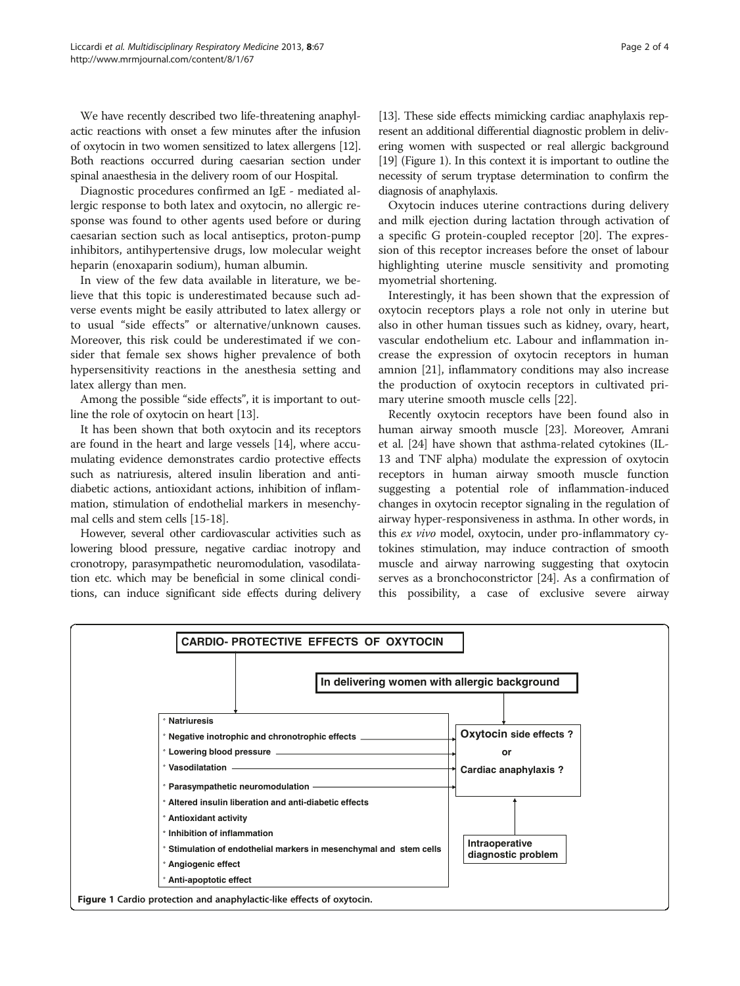We have recently described two life-threatening anaphylactic reactions with onset a few minutes after the infusion of oxytocin in two women sensitized to latex allergens [\[12](#page-3-0)]. Both reactions occurred during caesarian section under spinal anaesthesia in the delivery room of our Hospital.

Diagnostic procedures confirmed an IgE - mediated allergic response to both latex and oxytocin, no allergic response was found to other agents used before or during caesarian section such as local antiseptics, proton-pump inhibitors, antihypertensive drugs, low molecular weight heparin (enoxaparin sodium), human albumin.

In view of the few data available in literature, we believe that this topic is underestimated because such adverse events might be easily attributed to latex allergy or to usual "side effects" or alternative/unknown causes. Moreover, this risk could be underestimated if we consider that female sex shows higher prevalence of both hypersensitivity reactions in the anesthesia setting and latex allergy than men.

Among the possible "side effects", it is important to outline the role of oxytocin on heart [\[13](#page-3-0)].

It has been shown that both oxytocin and its receptors are found in the heart and large vessels [\[14\]](#page-3-0), where accumulating evidence demonstrates cardio protective effects such as natriuresis, altered insulin liberation and antidiabetic actions, antioxidant actions, inhibition of inflammation, stimulation of endothelial markers in mesenchymal cells and stem cells [\[15-18\]](#page-3-0).

However, several other cardiovascular activities such as lowering blood pressure, negative cardiac inotropy and cronotropy, parasympathetic neuromodulation, vasodilatation etc. which may be beneficial in some clinical conditions, can induce significant side effects during delivery [[13](#page-3-0)]. These side effects mimicking cardiac anaphylaxis represent an additional differential diagnostic problem in delivering women with suspected or real allergic background [[19](#page-3-0)] (Figure 1). In this context it is important to outline the necessity of serum tryptase determination to confirm the diagnosis of anaphylaxis.

Oxytocin induces uterine contractions during delivery and milk ejection during lactation through activation of a specific G protein-coupled receptor [\[20](#page-3-0)]. The expression of this receptor increases before the onset of labour highlighting uterine muscle sensitivity and promoting myometrial shortening.

Interestingly, it has been shown that the expression of oxytocin receptors plays a role not only in uterine but also in other human tissues such as kidney, ovary, heart, vascular endothelium etc. Labour and inflammation increase the expression of oxytocin receptors in human amnion [\[21](#page-3-0)], inflammatory conditions may also increase the production of oxytocin receptors in cultivated primary uterine smooth muscle cells [\[22](#page-3-0)].

Recently oxytocin receptors have been found also in human airway smooth muscle [[23](#page-3-0)]. Moreover, Amrani et al. [[24](#page-3-0)] have shown that asthma-related cytokines (IL-13 and TNF alpha) modulate the expression of oxytocin receptors in human airway smooth muscle function suggesting a potential role of inflammation-induced changes in oxytocin receptor signaling in the regulation of airway hyper-responsiveness in asthma. In other words, in this ex vivo model, oxytocin, under pro-inflammatory cytokines stimulation, may induce contraction of smooth muscle and airway narrowing suggesting that oxytocin serves as a bronchoconstrictor [\[24\]](#page-3-0). As a confirmation of this possibility, a case of exclusive severe airway

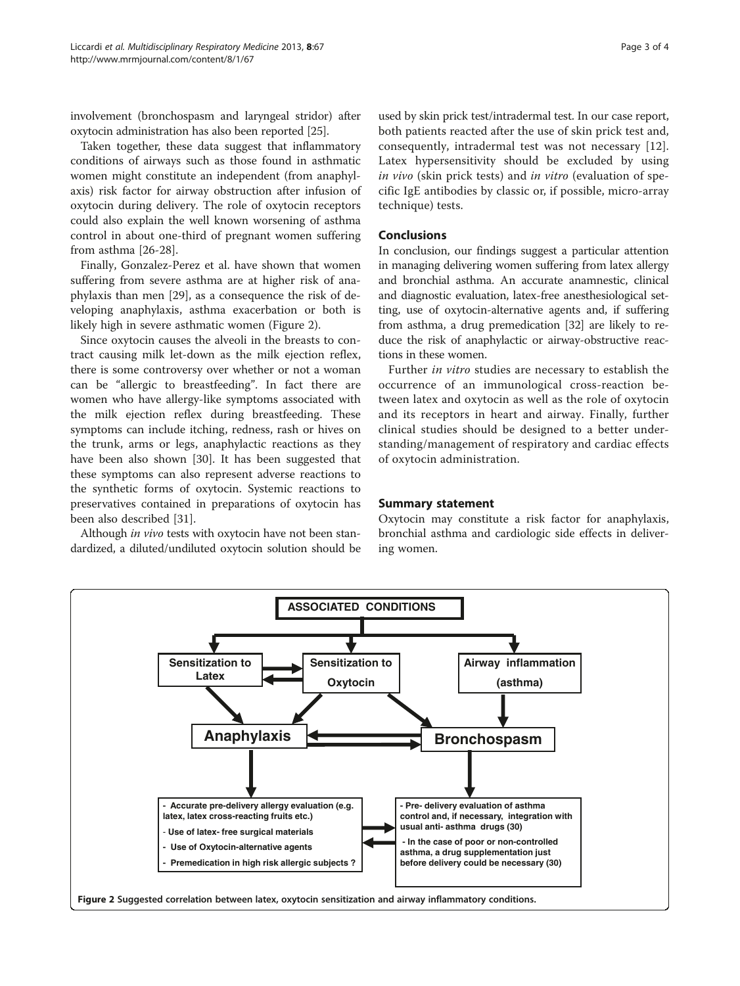involvement (bronchospasm and laryngeal stridor) after oxytocin administration has also been reported [\[25\]](#page-3-0).

Taken together, these data suggest that inflammatory conditions of airways such as those found in asthmatic women might constitute an independent (from anaphylaxis) risk factor for airway obstruction after infusion of oxytocin during delivery. The role of oxytocin receptors could also explain the well known worsening of asthma control in about one-third of pregnant women suffering from asthma [[26-28](#page-3-0)].

Finally, Gonzalez-Perez et al. have shown that women suffering from severe asthma are at higher risk of anaphylaxis than men [[29\]](#page-3-0), as a consequence the risk of developing anaphylaxis, asthma exacerbation or both is likely high in severe asthmatic women (Figure 2).

Since oxytocin causes the alveoli in the breasts to contract causing milk let-down as the milk ejection reflex, there is some controversy over whether or not a woman can be "allergic to breastfeeding". In fact there are women who have allergy-like symptoms associated with the milk ejection reflex during breastfeeding. These symptoms can include itching, redness, rash or hives on the trunk, arms or legs, anaphylactic reactions as they have been also shown [[30\]](#page-3-0). It has been suggested that these symptoms can also represent adverse reactions to the synthetic forms of oxytocin. Systemic reactions to preservatives contained in preparations of oxytocin has been also described [[31](#page-3-0)].

Although *in vivo* tests with oxytocin have not been standardized, a diluted/undiluted oxytocin solution should be

used by skin prick test/intradermal test. In our case report, both patients reacted after the use of skin prick test and, consequently, intradermal test was not necessary [[12](#page-3-0)]. Latex hypersensitivity should be excluded by using in vivo (skin prick tests) and in vitro (evaluation of specific IgE antibodies by classic or, if possible, micro-array technique) tests.

# Conclusions

In conclusion, our findings suggest a particular attention in managing delivering women suffering from latex allergy and bronchial asthma. An accurate anamnestic, clinical and diagnostic evaluation, latex-free anesthesiological setting, use of oxytocin-alternative agents and, if suffering from asthma, a drug premedication [[32](#page-3-0)] are likely to reduce the risk of anaphylactic or airway-obstructive reactions in these women.

Further in vitro studies are necessary to establish the occurrence of an immunological cross-reaction between latex and oxytocin as well as the role of oxytocin and its receptors in heart and airway. Finally, further clinical studies should be designed to a better understanding/management of respiratory and cardiac effects of oxytocin administration.

# Summary statement

Oxytocin may constitute a risk factor for anaphylaxis, bronchial asthma and cardiologic side effects in delivering women.